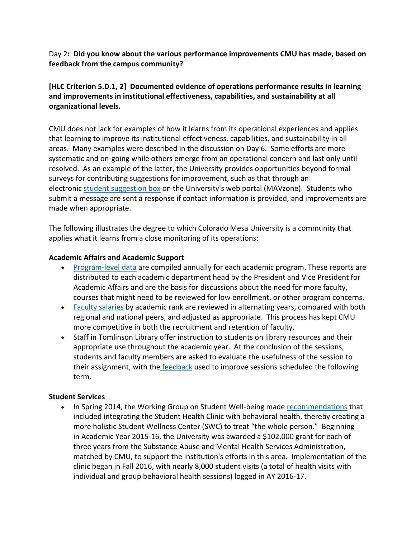# Day 2**: Did you know about the various performance improvements CMU has made, based on feedback from the campus community?**

# **[HLC Criterion 5.D.1, 2] Documented evidence of operations performance results in learning and improvements in institutional effectiveness, capabilities, and sustainability at all organizational levels.**

CMU does not lack for examples of how it learns from its operational experiences and applies that learning to improve its institutional effectiveness, capabilities, and sustainability in all areas. Many examples were described in the discussion on Day 6. Some efforts are more systematic and on‐going while others emerge from an operational concern and last only until resolved. As an example of the latter, the University provides opportunities beyond formal surveys for contributing suggestions for improvement, such as that through an electronic student suggestion box on the University's web portal (MAVzone). Students who submit a message are sent a response if contact information is provided, and improvements are made when appropriate.

The following illustrates the degree to which Colorado Mesa University is a community that applies what it learns from a close monitoring of its operations:

### **Academic Affairs and Academic Support**

- Program-level data are compiled annually for each academic program. These reports are distributed to each academic department head by the President and Vice President for Academic Affairs and are the basis for discussions about the need for more faculty, courses that might need to be reviewed for low enrollment, or other program concerns.
- Faculty salaries by academic rank are reviewed in alternating years, compared with both regional and national peers, and adjusted as appropriate. This process has kept CMU more competitive in both the recruitment and retention of faculty.
- Staff in Tomlinson Library offer instruction to students on library resources and their appropriate use throughout the academic year. At the conclusion of the sessions, students and faculty members are asked to evaluate the usefulness of the session to their assignment, with the feedback used to improve sessions scheduled the following term.

# **Student Services**

 In Spring 2014, the Working Group on Student Well‐being made recommendations that included integrating the Student Health Clinic with behavioral health, thereby creating a more holistic Student Wellness Center (SWC) to treat "the whole person." Beginning in Academic Year 2015‐16, the University was awarded a \$102,000 grant for each of three years from the Substance Abuse and Mental Health Services Administration, matched by CMU, to support the institution's efforts in this area. Implementation of the clinic began in Fall 2016, with nearly 8,000 student visits (a total of health visits with individual and group behavioral health sessions) logged in AY 2016‐17.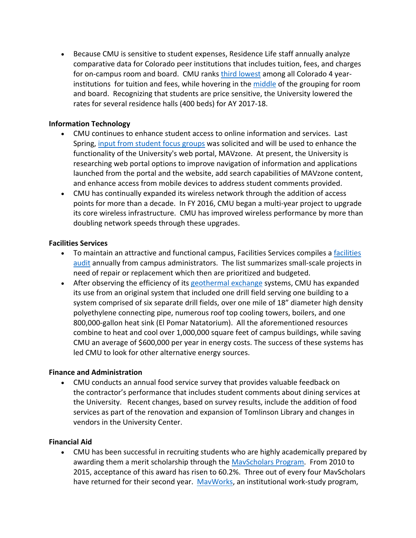Because CMU is sensitive to student expenses, Residence Life staff annually analyze comparative data for Colorado peer institutions that includes tuition, fees, and charges for on-campus room and board. CMU ranks third lowest among all Colorado 4 yearinstitutions for tuition and fees, while hovering in the middle of the grouping for room and board. Recognizing that students are price sensitive, the University lowered the rates for several residence halls (400 beds) for AY 2017‐18.

### **Information Technology**

- CMU continues to enhance student access to online information and services. Last Spring, input from student focus groups was solicited and will be used to enhance the functionality of the University's web portal, MAVzone. At present, the University is researching web portal options to improve navigation of information and applications launched from the portal and the website, add search capabilities of MAVzone content, and enhance access from mobile devices to address student comments provided.
- CMU has continually expanded its wireless network through the addition of access points for more than a decade. In FY 2016, CMU began a multi‐year project to upgrade its core wireless infrastructure. CMU has improved wireless performance by more than doubling network speeds through these upgrades.

#### **Facilities Services**

- To maintain an attractive and functional campus, Facilities Services compiles a facilities audit annually from campus administrators. The list summarizes small‐scale projects in need of repair or replacement which then are prioritized and budgeted.
- After observing the efficiency of its geothermal exchange systems, CMU has expanded its use from an original system that included one drill field serving one building to a system comprised of six separate drill fields, over one mile of 18" diameter high density polyethylene connecting pipe, numerous roof top cooling towers, boilers, and one 800,000‐gallon heat sink (El Pomar Natatorium). All the aforementioned resources combine to heat and cool over 1,000,000 square feet of campus buildings, while saving CMU an average of \$600,000 per year in energy costs. The success of these systems has led CMU to look for other alternative energy sources.

#### **Finance and Administration**

 CMU conducts an annual food service survey that provides valuable feedback on the contractor's performance that includes student comments about dining services at the University. Recent changes, based on survey results, include the addition of food services as part of the renovation and expansion of Tomlinson Library and changes in vendors in the University Center.

#### **Financial Aid**

 CMU has been successful in recruiting students who are highly academically prepared by awarding them a merit scholarship through the MavScholars Program. From 2010 to 2015, acceptance of this award has risen to 60.2%. Three out of every four MavScholars have returned for their second year. MavWorks, an institutional work-study program,